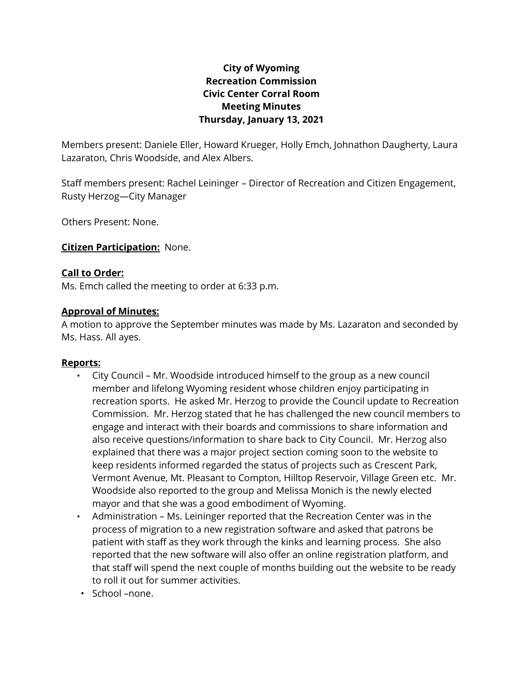# **City of Wyoming Recreation Commission Civic Center Corral Room Meeting Minutes Thursday, January 13, 2021**

Members present: Daniele Eller, Howard Krueger, Holly Emch, Johnathon Daugherty, Laura Lazaraton, Chris Woodside, and Alex Albers.

Staff members present: Rachel Leininger – Director of Recreation and Citizen Engagement, Rusty Herzog—City Manager

Others Present: None.

## **Citizen Participation:** None.

#### **Call to Order:**

Ms. Emch called the meeting to order at 6:33 p.m.

#### **Approval of Minutes:**

A motion to approve the September minutes was made by Ms. Lazaraton and seconded by Ms. Hass. All ayes.

#### **Reports:**

- City Council Mr. Woodside introduced himself to the group as a new council member and lifelong Wyoming resident whose children enjoy participating in recreation sports. He asked Mr. Herzog to provide the Council update to Recreation Commission. Mr. Herzog stated that he has challenged the new council members to engage and interact with their boards and commissions to share information and also receive questions/information to share back to City Council. Mr. Herzog also explained that there was a major project section coming soon to the website to keep residents informed regarded the status of projects such as Crescent Park, Vermont Avenue, Mt. Pleasant to Compton, Hilltop Reservoir, Village Green etc. Mr. Woodside also reported to the group and Melissa Monich is the newly elected mayor and that she was a good embodiment of Wyoming.
- Administration Ms. Leininger reported that the Recreation Center was in the process of migration to a new registration software and asked that patrons be patient with staff as they work through the kinks and learning process. She also reported that the new software will also offer an online registration platform, and that staff will spend the next couple of months building out the website to be ready to roll it out for summer activities.
- School –none.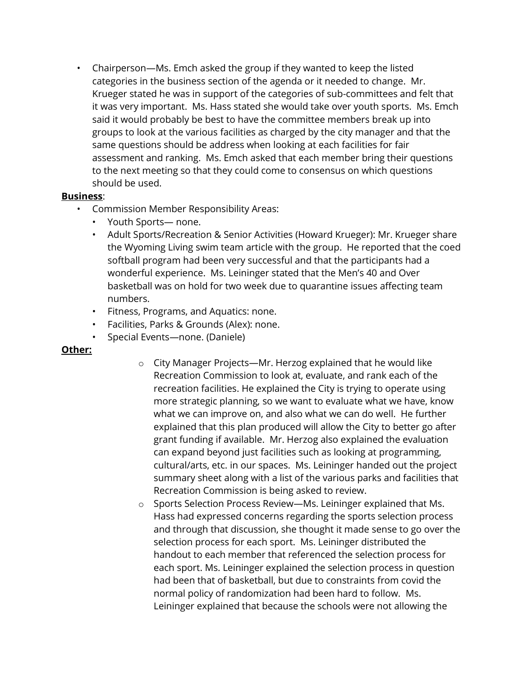• Chairperson—Ms. Emch asked the group if they wanted to keep the listed categories in the business section of the agenda or it needed to change. Mr. Krueger stated he was in support of the categories of sub-committees and felt that it was very important. Ms. Hass stated she would take over youth sports. Ms. Emch said it would probably be best to have the committee members break up into groups to look at the various facilities as charged by the city manager and that the same questions should be address when looking at each facilities for fair assessment and ranking. Ms. Emch asked that each member bring their questions to the next meeting so that they could come to consensus on which questions should be used.

## **Business**:

- Commission Member Responsibility Areas:
	- Youth Sports— none.
	- Adult Sports/Recreation & Senior Activities (Howard Krueger): Mr. Krueger share the Wyoming Living swim team article with the group. He reported that the coed softball program had been very successful and that the participants had a wonderful experience. Ms. Leininger stated that the Men's 40 and Over basketball was on hold for two week due to quarantine issues affecting team numbers.
	- Fitness, Programs, and Aquatics: none.
	- Facilities, Parks & Grounds (Alex): none.
	- Special Events—none. (Daniele)

# **Other:**

- o City Manager Projects—Mr. Herzog explained that he would like Recreation Commission to look at, evaluate, and rank each of the recreation facilities. He explained the City is trying to operate using more strategic planning, so we want to evaluate what we have, know what we can improve on, and also what we can do well. He further explained that this plan produced will allow the City to better go after grant funding if available. Mr. Herzog also explained the evaluation can expand beyond just facilities such as looking at programming, cultural/arts, etc. in our spaces. Ms. Leininger handed out the project summary sheet along with a list of the various parks and facilities that Recreation Commission is being asked to review.
- o Sports Selection Process Review—Ms. Leininger explained that Ms. Hass had expressed concerns regarding the sports selection process and through that discussion, she thought it made sense to go over the selection process for each sport. Ms. Leininger distributed the handout to each member that referenced the selection process for each sport. Ms. Leininger explained the selection process in question had been that of basketball, but due to constraints from covid the normal policy of randomization had been hard to follow. Ms. Leininger explained that because the schools were not allowing the